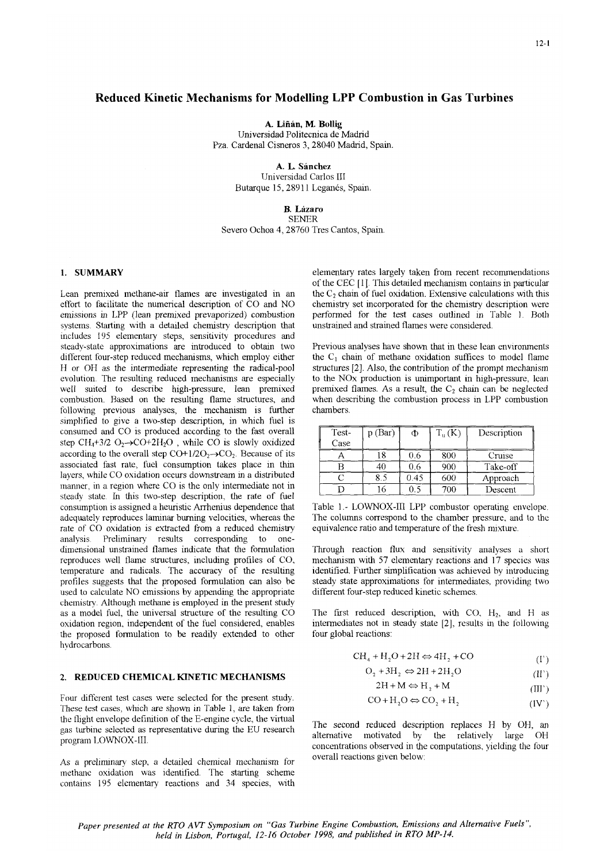## Reduced Kinetic Mechanisms for Modelling LPP Combustión in Gas Turbines

**A. Liñán, M. Bollig** 

Universidad Politecnica de Madrid Pza. Cardenal Cisneros 3, 28040 Madrid, Spain.

> A. L. **Sánchez**  Universidad Carlos III Butarque 15, 28911 Leganés, Spain.

> > **B. Lázaro**

SENER Severo Ochoa 4, 28760 Tres Cantos, Spain.

#### **1. SUMMARY**

Lean premixed methane-air flames are investigated in an effort to facilítate the numerical description of CO and NO emissions in LPP (lean premixed prevaporized) combustion systems. Starting with a detailed chemistry description that includes 195 elementary steps, sensiüvity procedures and steady-state approximations are introduced to obtain two different four-step reduced mechanisms, which employ either H or OH as the intermedíate representing the radical-pool evolution. The resulting reduced mechanisms are especially well suited to describe high-pressure, lean premixed combustión. Based on the resulting flame structures, and following previous analyses, the mechanism is further simplified to give a two-step description, in which fuel is consumed and CO is produced according to the fast overall step CH<sub>4</sub>+3/2 O<sub>2</sub> $\rightarrow$ CO+2H<sub>2</sub>O, while CO is slowly oxidized according to the overall step  $CO+1/2O_2 \rightarrow CO_2$ . Because of its associated fast rate, fuel consumption takes place in thin layers, while CO oxidation occurs downstream in a distributed manner, in a region where CO is the only intermediate not in steady state. In this two-step description, the rate of fuel consumption is assigned a heuristic Arrhenius dependence that adequately reproduces laminar burning velocities, whereas the rate of CO oxidation is extracted from a reduced chemistry analysis. Preliminary results corresponding to onedimensional unstrained flames indícate that the formulation reproduces well flame structures, including profiles of CO, temperature and radicáis. The accuracy of the resulting profiles suggests that the proposed formulation can also be used to calculate NO emissions by appending the appropriate chemistry. Although methane is employed in the present study as a model fuel, the universal structure of the resulting CO oxidation región, independent of the fuel considered, enables the proposed formulation to be readily extended to other hydrocarbons.

#### **2. REDUCED CHEMICAL KINETIC MECHANISMS**

Four different test cases were selected for the present study. These test cases, which are shown in Table 1, are taken from the flight envelope definition of the E-engine cycle, the virtual gas turbíne selected as representative during the EU research program LOWNOX-III.

As a preliminary step, a detailed chemical mechanism for methane oxidation was identified. The starting scheme contams 195 elementary reactions and 34 species, with elementary rates largely taken from recent recommendations of the CEC [1]. This detailed mechanism contains in particular the  $C<sub>2</sub>$  chain of fuel oxidation. Extensive calculations with this chemistry set incorporated for the chemistry description were performed for the test cases outlined in Table 1. Both unstrained and strained flames were considered.

Previous analyses have shown that in these lean environments the  $C_1$  chain of methane oxidation suffices to model flame structures [2]. Also, the contribution of the prompt mechanism to the NOx production is unimportant in high-pressure, lean premixed flames. As a result, the  $C_2$  chain can be neglected when describing the combustion process in LPP combustion chambers.

| Test-<br>Case | p(Bar) | Φ    | $\rm T_u\left(K\right)$ | Description |
|---------------|--------|------|-------------------------|-------------|
|               | 18     | 0.6  | 800                     | Cruise      |
|               | 40     | 0.6  | 900                     | Take-off    |
|               | 8.5    | 0.45 | 600                     | Approach    |
|               | 6      | U.S  | 700                     | Descent     |

Table 1.- LOWNOX-III LPP combustor operating envelope. The columns correspond to the chamber pressure, and to the equivalence ratio and temperature of the fresh mixture.

Through reaction flux and sensitivity analyses a short mechanism with 57 elementary reactions and 17 species was identified. Further simplification was achieved by introducing steady state approximations for mtermediates, providing two different four-step reduced kinetic schemes.

The first reduced description, with CO,  $H_2$ , and H as intermediates not in steady state [2], results in the following four global reactions:

$$
CH_4 + H_2O + 2H \Leftrightarrow 4H_2 + CO
$$
 (I')

$$
O_2 + 3H_2 \Leftrightarrow 2H + 2H_2O \tag{II'}
$$

$$
2H + M \Leftrightarrow H_2 + M \tag{III'}
$$

$$
CO + H_2O \Leftrightarrow CO_2 + H_2
$$
 (IV')

The second reduced description replaces H by OH, an altemative motivated by the relatively large OH concentrations observed in the computations, yielding the four overall reactions given below:

*Paper presented at the RTO AVT Symposium on "Gas Turbine Engine Combustión, Emissions and Altemative Fuels", held in Lisbon, Portugal, 12-16 October 1998, and published in RTO MP-14.*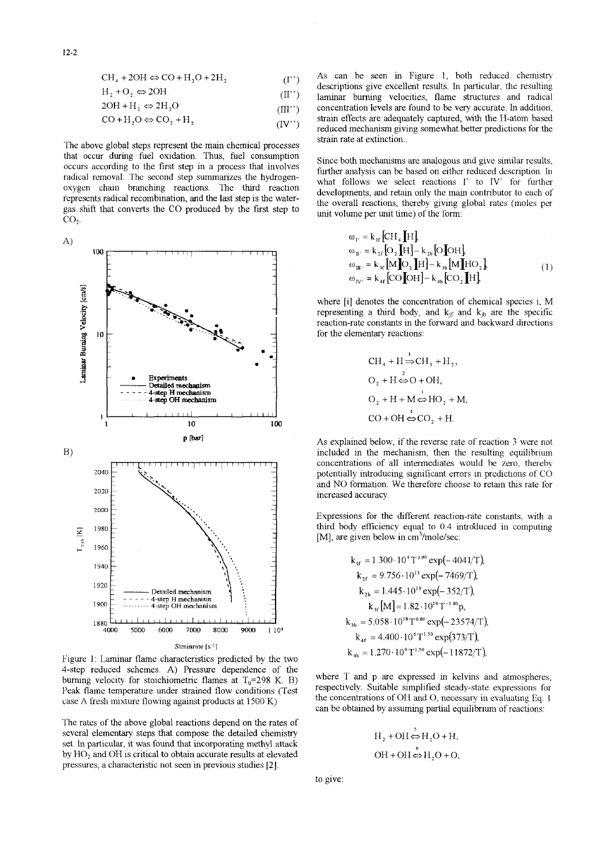$$
CH4 + 2OH \Leftrightarrow CO + H2O + 2H2
$$
 (I')

$$
H_2 + O_2 \Leftrightarrow 2OH \tag{II'}
$$

$$
2OH + H_2 \Leftrightarrow 2H_2O \tag{III'}
$$

$$
CO + H_2O \Leftrightarrow CO_2 + H_2
$$
 (IV")

The above global steps represent the main chemical processes that occur during fuel oxidation. Thus, fuel consumption occurs according to the first step in a process that involves radical removal. The second step summarizes the hydrogenoxygen chain branching reactions. The third reaction represents radical recombination, and the last step is the watergas shift that converts the CO produced by the first step to **co2.** 



Figure 1: Laminar flame characteristics predicted by the two 4-step reduced schemes. A) Pressure dependence of the burning velocity for stoichiometric flames at  $T<sub>u</sub>=298$  K. B) Peak fíame temperature under strained fiow conditions (Test case A fresh mixture flowing against products at 1500 K)

The rates of the above global reactions depend on the rates of several elementary steps that compose the detaüed chemistry set. In particular, it was found that incorporating methyl attack by  $HO<sub>2</sub>$  and OH is critical to obtain accurate results at elevated pressures, a characteristic not seen in previous studies [2].

As can be seen in Figure 1, both reduced chemistry descriptions give excellent results. In particular, the resulting laminar burning velocities, fíame structures and radical concentration levels are found to be very accurate. In addition, stram effects are adequately captured, with the H-atom based reduced mechanism giving somewhat better predictions for the strain rate at extinction..

Since both mechanisms are analogous and give similar results, further analysis can be based on either reduced description. In what follows we select reactions  $\Gamma$  to  $\Gamma$ <sup>+</sup> for further developments, and retain only the main contributor to each of the overall reactions, thereby giving global rates (moles per unit volume per unit time) of the form:

$$
\omega_{\rm p} = k_{\rm tf} \left[ CH_{4} \right] H \}
$$
\n
$$
\omega_{\rm n} = k_{\rm rf} \left[ O_{2} \right] H \right] - k_{\rm 2b} \left[ O \right] O H \}
$$
\n
$$
\omega_{\rm m} = k_{\rm sf} \left[ M \right] O_{2} \left[ H \right] - k_{\rm 3b} \left[ M \right] H O_{2} \}
$$
\n
$$
\omega_{\rm nv'} = k_{\rm 4f} \left[ CO \right] O H \right] - k_{\rm 4b} \left[ CO_{2} \right] H \}
$$
\n(1)

where [i] denotes the concentration of chemical species i, M representing a third body, and  $k_{jf}$  and  $k_{jb}$  are the specific reaction-rate constants in the forward and backward directions for the elementary reactions:

$$
CH_4 + H \stackrel{1}{\Rightarrow} CH_3 + H_2,
$$
  
\n
$$
O_2 + H \stackrel{2}{\Leftrightarrow} O + OH,
$$
  
\n
$$
O_2 + H + M \stackrel{3}{\Leftrightarrow} HO_2 + M,
$$
  
\n
$$
CO + OH \stackrel{4}{\Leftrightarrow} CO_2 + H.
$$

As explained below, if the reverse rate of reaction 3 were not included in the mechanism, then the resulting equilibnum concentrations of all intermediates would be zero, thereby potentially introducing significant errors in predicüons of CO and NO formation. We therefore choose to retain this rate for increased accuracy.

Expressions for the different reaction-rate constants, with a third body efficiency equal to 0.4 intro'duced in computing [M], are given below in cm<sup>3</sup>/mole/sec:

$$
k_{1f} = 1.300 \cdot 10^{4} T^{3.00} \exp(-4041/T),
$$
  
\n
$$
k_{2f} = 9.756 \cdot 10^{13} \exp(-7469/T),
$$
  
\n
$$
k_{2b} = 1.445 \cdot 10^{13} \exp(-352/T),
$$
  
\n
$$
k_{3f} [M] = 1.82 \cdot 10^{16} T^{-1.80} p,
$$
  
\n
$$
k_{3b} = 5.058 \cdot 10^{18} T^{0.80} \exp(-23574/T),
$$
  
\n
$$
k_{4f} = 4.400 \cdot 10^{6} T^{1.50} \exp(373/T),
$$
  
\n
$$
k_{4b} = 1.270 \cdot 10^{9} T^{1.50} \exp(-11872/T),
$$

where T and p are expressed in kelvins and atmospheres, respectively. Suitable simplified steady-state expressions for the concentrations of OH and O, necessary in evaluatmg Eq. 1 can be obtained by assuming partial equilibrium of reactions:

$$
H_2 + OH \stackrel{s}{\Leftrightarrow} H_2O + H,
$$
  
OH + OH 
$$
\stackrel{s}{\Leftrightarrow} H_2O + O,
$$

to give: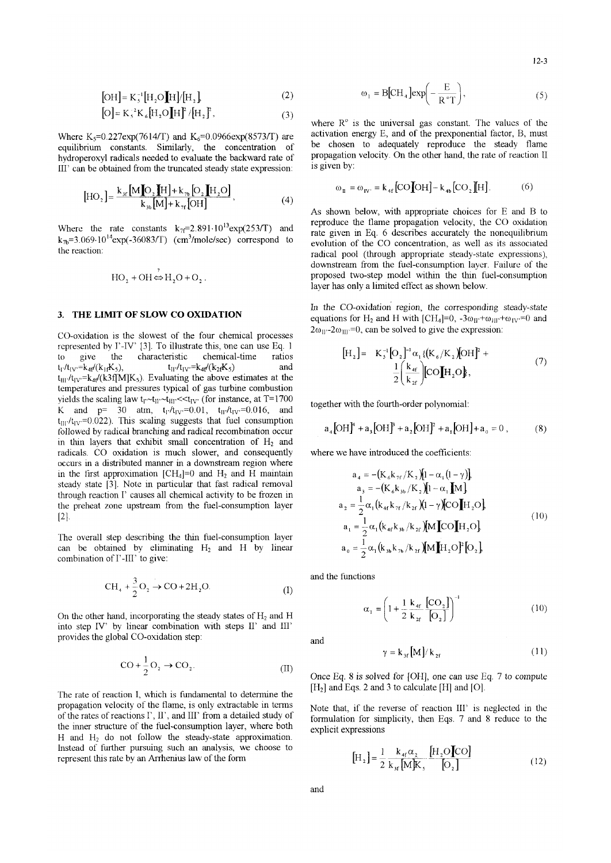12-3

$$
[OH] = K_5^{-1} [H_2 O][H]/[H_2]
$$
 (2)

$$
[O] = K_s^2 K_s [H_2 O[H]^2 / [H_2]^2, \qquad (3)
$$

Where K<sub>5</sub>=0.227exp(7614/T) and K<sub>6</sub>=0.0966exp(8573/T) are equilibrium constants. Similarly, the concentration of hydroperoxyl radicals needed to evaluate the backward rate of IIF can be obtained from the truncated steady state expression:

$$
[HO_2] = \frac{k_{sr} [M] O_2 [H] + k_{7b} [O_2 [H_2 O]}{k_{3b} [M] + k_{7t} [OH]},
$$
\n(4)

Where the rate constants  $k_{7f}=2.891 \cdot 10^{13} \exp(253/T)$  and  $k_{7b}$ =3.069·10<sup>14</sup>exp(-36083/T) (cm<sup>3</sup>/mole/sec) correspond to the reaction:

$$
HO_2 + OH \leftrightarrow H_2O + O_2.
$$

#### 3. THE LIMIT OF SLOW CO OXIDATION

CO-oxidation is the slowest of the four chemical processes represented by I'-IV' [3]. To illustrate this, one can use Eq. 1<br>to give the characteristic chemical-time ratios to give the characteristic chemical-time ratios<br>to  $t_n(t_{n} = k_n d(k_0K_0))$  and  $t_{\Gamma}/t_{\Gamma V} = k_{4}g/(k_{1}K_{5}),$  $\rm t_{II}\prime\rm t_{IV}$  = k<sub>4f</sub>/(k<sub>2f</sub>K<sub>5</sub>)  $t_{III}/t_{IV} = k_{4f}/(k3f[M]K_5)$ . Evaluating the above estimates at the temperatures and pressures typical of gas turbine combustión yields the scaling law  $t_P \sim t_{\text{H}} r \ll t_{\text{IV}}$  (for instance, at T=1700 K and  $p= 30$  atm,  $t_F/t_{IV} = 0.01$ ,  $t_{II}/t_{IV} = 0.016$ , and  $t_{III}/t_{IV}=0.022$ ). This scaling suggests that fuel consumption followed by radical branching and radical recombination occur in thin layers that exhibit small concentration of  $H_2$  and radicals. CO oxidation is much slower, and consequently occurs in a distributed manner in a downstream region where in the first approximation  $\text{[CH}_4]=0$  and  $\text{H}_2$  and H maintain steady state [3]. Note in particular that fast radical removal through reaction I' causes all chemical activity to be frozen in the preheat zone upstream from the fuel-consumption layer  $[2]$ 

The overall step describing the thin fuel-consumption layer can be obtained by eliminating  $H_2$  and H by linear combination of I'-III' to give:

$$
CH4 + \frac{3}{2}O2 \rightarrow CO + 2H2O.
$$
 (I)

On the other hand, incorporating the steady states of  $H_2$  and H into step IV' by linear combination with steps II' and III' provides the global CO-oxidation step:

$$
CO + \frac{1}{2}O_2 \rightarrow CO_2. \tag{II}
$$

The rate of reaction I, which is fundamental to determine the propagation velocity of the flame, is only extractable in terms of the rates of reactions *V,* IF, and IIF from a detailed study of the inner structure of the fuel-consumption layer, where both H and  $H_2$  do not follow the steady-state approximation. Instead of further pursuing such an analysis, we choose to represent this rate by an Arrhenius law of the form

$$
\omega_1 = B[CH_4]exp\left(-\frac{E}{R^{\circ}T}\right),\tag{5}
$$

where  $R<sup>o</sup>$  is the universal gas constant. The values of the activation energy E, and of the prexponential factor, B, must be chosen to adequately reproduce the steady flame propagation velocity. On the other hand, the rate of reaction II is given by:

$$
\omega_{\mathbf{n}} = \omega_{\mathbf{n}'} = \mathbf{k}_{\mathbf{4f}} \left[ \mathbf{CO} \right] - \mathbf{k}_{\mathbf{4b}} \left[ \mathbf{CO}_2 \right] \left[ \mathbf{H} \right]. \tag{6}
$$

As shown below, with appropriate choices for E and B to reproduce the fíame propagation velocity, the CO oxidation rate given in Eq. 6 describes accurately the nonequüibrium evolution of the CO concentration, as well as its associated radical pool (through appropriate steady-state expressions), downstream from the fuel-consumption layer. Failure of the proposed two-step model within the thin fuel-consumption layer has only a limited effect as shown below.

In the CO-oxidation region, the corresponding steady-state equations for H<sub>2</sub> and H with [CH<sub>4</sub>]=0,  $-3\omega_{\text{H}} + \omega_{\text{H}} + \omega_{\text{IV}} = 0$  and  $2\omega_{\text{II}}$ -2 $\omega_{\text{III}}$ =0, can be solved to give the expression:

$$
\begin{bmatrix} H_2 \end{bmatrix} = K_3^{-1} \left[ O_2 \right]^{-1} \alpha_1 \left\{ \left( K_6 / K_2 \right) \left[ OH \right]^{2} + \frac{1}{2} \left( \frac{k_{\text{df}}}{k_{\text{2f}}} \right) \left[ CO \left[ H_2 O \right] \right\}, \tag{7}
$$

together with the fourth-order polynomial:

$$
a_4[OH]^4 + a_3[OH]^3 + a_2[OH]^2 + a_1[OH] + a_0 = 0 ,
$$
 (8)

where we have introduced the coefficients:

$$
a_{4} = -(\mathbf{K}_{6}\mathbf{k}_{7f}/\mathbf{K}_{2})[1 - \alpha_{1}(1 - \gamma)]
$$
  
\n
$$
a_{3} = -(\mathbf{K}_{6}\mathbf{k}_{3b}/\mathbf{K}_{2})[1 - \alpha_{1}][\mathbf{M}]
$$
  
\n
$$
a_{2} = \frac{1}{2}\alpha_{1}(\mathbf{k}_{4f}\mathbf{k}_{7f}/\mathbf{k}_{2f})(1 - \gamma)[\mathbf{CO}][\mathbf{H}_{2}\mathbf{O}]
$$
  
\n
$$
a_{1} = \frac{1}{2}\alpha_{1}(\mathbf{k}_{4f}\mathbf{k}_{3b}/\mathbf{k}_{2f})[\mathbf{M}][\mathbf{CO}][\mathbf{H}_{2}\mathbf{O}]
$$
  
\n
$$
a_{0} = \frac{1}{2}\alpha_{1}(\mathbf{k}_{3b}\mathbf{k}_{7b}/\mathbf{k}_{2f})[\mathbf{M}][\mathbf{H}_{2}\mathbf{O}]^{2}[\mathbf{O}_{2}]
$$
  
\n(10)

and the functions

$$
\alpha_1 = \left(1 + \frac{1}{2} \frac{k_{4f}}{k_{2f}} \frac{[CO_2]}{[O_2]}\right)^{-1}
$$
 (10)

and

$$
\gamma = k_{3f} [M] / k_{2f} \tag{11}
$$

Once Eq. 8 is solved for [OH], one can use Eq. 7 to compute  $[H<sub>2</sub>]$  and Eqs. 2 and 3 to calculate  $[H]$  and  $[O]$ .

Note that, if the reverse of reaction IIF is neglected in the formulation for simplicity, then Eqs. 7 and 8 reduce to the explicit expressions

$$
\left[\mathrm{H}_{2}\right] = \frac{1}{2} \frac{\mathbf{k}_{4f} \alpha_{2}}{\mathbf{k}_{3f} \left[\mathrm{M} \right] \mathbf{k}_{5}} \frac{\left[\mathrm{H}_{2} \mathrm{O} \right] \mathrm{CO}}{\left[\mathrm{O}_{2}\right]} \tag{12}
$$

and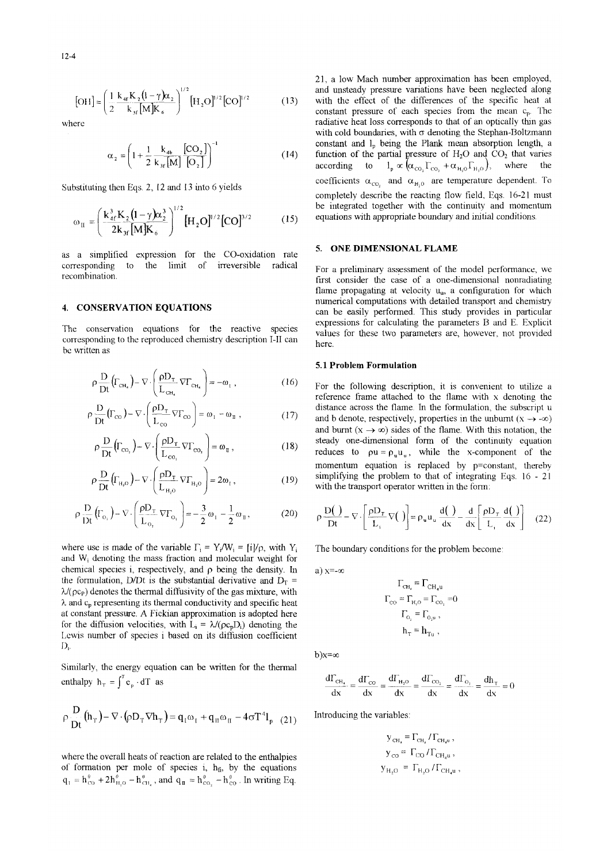$$
12-4
$$

[OH] = 
$$
\left(\frac{1}{2} \frac{k_{4f} K_2 (1 - \gamma) \alpha_2}{k_{3f} [M] K_6}\right)^{1/2} [H_2 O]^{1/2} [CO]^{1/2}
$$
 (13)

where

$$
\alpha_2 = \left(1 + \frac{1}{2} \frac{k_{4b}}{k_{sr} [M]} \frac{[CO_2]}{[O_2]}\right)^{-1}
$$
 (14)

Substituting then Eqs. 2, 12 and 13 into 6 yields

$$
\omega_{II} = \left(\frac{\mathbf{k}_{4f}^{3} \mathbf{K}_{2} (1 - \gamma) \alpha_{2}^{3}}{2 \mathbf{k}_{3f} [M] \mathbf{K}_{6}}\right)^{1/2} [\mathbf{H}_{2} \mathbf{O}]^{1/2} [\mathbf{CO}]^{3/2}
$$
(15)

as a simplified expression for the CO-oxidatíon rate corresponding to the limit of irreversible radical recombination.

#### **4. CONSERVATION EQUATIONS**

The conservation equations for the reactive species corresponding to the reproduced chemistry description I-II can be written as

$$
\rho \frac{\mathcal{D}}{\mathcal{D}t} \left( \Gamma_{\text{CH}_4} \right) - \nabla \cdot \left( \frac{\rho \mathcal{D}_\text{T}}{\mathcal{L}_{\text{CH}_4}} \nabla \Gamma_{\text{CH}_4} \right) = -\omega_1 , \qquad (16)
$$

$$
\rho \frac{\mathcal{D}}{\mathcal{D}t}(\Gamma_{\mathcal{C}\mathcal{O}}) - \nabla \cdot \left(\frac{\rho \mathcal{D}_{\mathcal{T}}}{L_{\mathcal{C}\mathcal{O}}}\nabla \Gamma_{\mathcal{C}\mathcal{O}}\right) = \omega_1 - \omega_{\mathcal{I}} \,,\tag{17}
$$

$$
\rho \frac{\mathcal{D}}{\mathcal{D}t} \Big( \Gamma_{\text{co}_1} \Big) - \nabla \cdot \left( \frac{\rho \mathcal{D}_\text{T}}{\mathcal{L}_{\text{co}_1}} \nabla \Gamma_{\text{co}_1} \right) = \omega_\text{T} , \tag{18}
$$

$$
\rho \frac{\mathcal{D}}{\mathcal{D}t} \Big( \Gamma_{\mathcal{H},\mathcal{O}} \Big) - \nabla \cdot \left( \frac{\rho \mathcal{D}_{\mathcal{T}}}{L_{\mathcal{H},\mathcal{O}}} \nabla \Gamma_{\mathcal{H},\mathcal{O}} \right) = 2\omega_{\mathcal{T}},\tag{19}
$$

$$
\rho \frac{\mathcal{D}}{\mathcal{D}t} \left( \Gamma_{\mathcal{O}_1} \right) - \nabla \cdot \left( \frac{\rho \mathcal{D}_T}{\mathcal{L}_{\mathcal{O}_2}} \nabla \Gamma_{\mathcal{O}_2} \right) = -\frac{3}{2} \omega_1 - \frac{1}{2} \omega_{\pi}, \tag{20}
$$

where use is made of the variable  $\Gamma_i = Y_i/W_i = \frac{1}{i}l/\rho$ , with  $Y_i$ and W¡ denoting the mass fraction and molecular weight for chemical species i, respectively, and  $\rho$  being the density. In the formulation, D/Dt is the substantial derivative and  $D_T =$  $\lambda$ ( $\rho c_{P}$ ) denotes the thermal diffusivity of the gas mixture, with  $\lambda$  and c<sub>p</sub> representing its thermal conductivity and specific heat at constant pressure. A Fickian approximation is adopted here for the diffusion velocities, with  $L_i = \lambda / (\rho c_n D_i)$  denoting the Lewis number of species i based on its diffusion coefficient  $D_{\nu}$ 

Simüarly, the energy equation can be written for the thermal enthalpy  $h_T = \int_0^T c_p \cdot dT$  as

$$
\rho \cdot \frac{D}{Dt} \left( h_{\rm T} \right) - \nabla \cdot \left( \rho D_{\rm T} \nabla h_{\rm T} \right) = q_{\rm T} \omega_{\rm T} + q_{\rm H} \omega_{\rm H} - 4 \sigma T^4 l_{\rm p} \quad (21)
$$

where the overall heats of reaction are related to the enfhalpies of formation per mole of species i,  $h_{fi}$ , by the equations  $q_1 = h_{\text{CO}}^0 + 2h_{\text{H}_2\text{O}}^0 - h_{\text{CH}_4}^0$ , and  $q_{\text{H}} = h_{\text{CO}_2}^0 - h_{\text{CO}}^0$ . In writing Eq.

21, a low Mach number approximation has been employed, and unsteady pressure vanations have been neglected along with the effect of the differences of the specific heat at constant pressure of each species from the mean  $c_p$ . The radiative heat loss corresponds to that of an optically thin gas with cold boundaries, with  $\sigma$  denoting the Stephan-Boltzmann constant and  $l_p$  being the Plank mean absorption length, a function of the partial pressure of  $H_2O$  and  $CO_2$  that varies according to  $l_p \propto (\alpha_{\text{co}_1} \Gamma_{\text{co}_2} + \alpha_{\text{H}_2 0} \Gamma_{\text{H}_2 0})$ , where the coefficients  $\alpha_{\text{co}_1}$  and  $\alpha_{\text{H}_1 0}$  are temperature dependent. To completely describe the reacting flow field, Eqs. 16-21 must be integrated together with the continuity and momentum equations with appropriate boundary and initia] conditions.

### **5. ONE DIMENSIONAL FLAME**

For a preliminary assessment of the model performance, we first consider the case of a one-dimensional nonradiatmg flame propagating at velocity  $u_{\mu}$ , a configuration for which numerical computations with detailed transport and chemistry can be easily performed. This study provides ín particular expressions for calculating the parameters B and E. Explicit values for these two parameters are, however, not provided here.

### **5.1 Problem Formulation**

For the following description, it is convenient to utilize a reference frame attached to the flame with x denoting the distance across the flame. In the formulation, the subscript u and b denote, respectively, properties in the unburnt  $(x \rightarrow -\infty)$ and burnt  $(x \rightarrow \infty)$  sides of the flame. With this notation, the steady one-dimensional form of the continuity equation reduces to  $\rho u = \rho_u u_u$ , while the x-component of the momentum equation is replaced by p=constant, thereby simplifying the problem to that of integrating Eqs. 16 - 21 with the transport operator written in the form:

$$
\rho \frac{D}{Dt} - \nabla \cdot \left[ \frac{\rho D_T}{L_i} \nabla \left( \right) \right] = \rho_u u_u \frac{d\left( \right)}{dx} - \frac{d}{dx} \left[ \frac{\rho D_T}{L_i} \frac{d\left( \right)}{dx} \right] \tag{22}
$$

The boundary conditions for the problem become:

$$
\Gamma_{\text{CH}_{4}} = \Gamma_{\text{CH}_{4}u}
$$
\n
$$
\Gamma_{\text{CO}} = \Gamma_{\text{H}_{2}\text{O}} = \Gamma_{\text{CO}_{2}} = 0
$$
\n
$$
\Gamma_{\text{O}_{2}} = \Gamma_{\text{O}_{2}u},
$$
\n
$$
h_{\text{T}} = h_{\text{Ti}_{1}}.
$$

b) $x=\infty$ 

a)  $x=-\infty$ 

$$
\frac{d\Gamma_{\text{CH}_a}}{dx} = \frac{d\Gamma_{\text{CO}}}{dx} = \frac{d\Gamma_{\text{H}_2\text{O}}}{dx} = \frac{d\Gamma_{\text{CO}_1}}{dx} = \frac{d\Gamma_{\text{O}_1}}{dx} = \frac{dh_\text{T}}{dx} = 0
$$

Introducing the variables:

$$
y_{CH_4} = \Gamma_{CH_4}/\Gamma_{CH_4u} ,
$$
  
\n
$$
y_{CO} = \Gamma_{CO}/\Gamma_{CH_4u} ,
$$
  
\n
$$
y_{H_2O} = \Gamma_{H_2O}/\Gamma_{CH_4u} ,
$$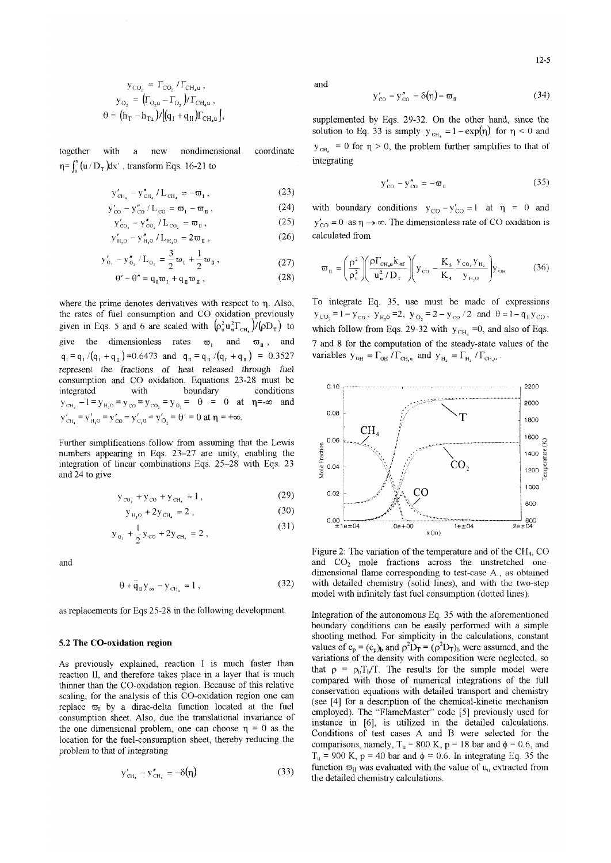$$
y_{CO_2} = \Gamma_{CO_2}/\Gamma_{CH_4u},
$$
  
\n
$$
y_{O_2} = (\Gamma_{O_2u} - \Gamma_{O_2})/\Gamma_{CH_4u},
$$
  
\n
$$
\theta = (\mathbf{h}_T - \mathbf{h}_{Tu})/[(\mathbf{q}_I + \mathbf{q}_H)\Gamma_{CH_4u}],
$$

together with a new nondimensional coordínate  $\eta = \int_{0}^{x} (u/D_{\tau})dx'$ , transform Eqs. 16-21 to

$$
y'_{\text{CH}_4} - y''_{\text{CH}_4} / L_{\text{CH}_4} = -\varpi_1, \qquad (23)
$$

$$
y'_{\text{CO}} - y''_{\text{CO}} / L_{\text{CO}} = \varpi_{\text{I}} - \varpi_{\text{II}} ,
$$
 (24)

$$
y'_{\text{CO}_2} - y''_{\text{CO}_2} / L_{\text{CO}_2} = \varpi_{\text{II}} ,
$$
 (25)

$$
y'_{H_2O} - y''_{H_2O} / L_{H_2O} = 2\varpi_{\mathfrak{U}} \,, \tag{26}
$$

$$
y'_{0_1} - y''_{0_1}/L_{0_2} = \frac{3}{2}\varpi_1 + \frac{1}{2}\varpi_{\pi},
$$
 (27)

$$
\Theta' - \Theta'' = q_1 \varpi_I + q_\pi \varpi_\pi , \qquad (28)
$$

where the prime denotes derivatives with respect to  $\eta$ . Also, the rates of fuel consumption and CO oxidation previously given in Eqs. 5 and 6 are scaled with  $(\rho_u^2 u_u^2 \Gamma_{\text{CH}}) / (\rho D_{\text{T}})$  to give the dimensionless rates  $\varpi_1$  and  $\varpi_{\mathfrak{m}}$ , and  $\overline{q}_1 = q_1 / (q_1 + q_{\overline{u}}) = 0.6473$  and  $\overline{q}_{\overline{u}} = q_{\overline{u}} / (q_1 + q_{\overline{u}}) = 0.3527$ represent the fractions of heat released through fuel consumption and CO oxidation. Equations 23-28 must be integrated with boundary conditions  $y_{\text{CH}_4} - 1 = y_{\text{H}_2\text{O}} = y_{\text{CO}} = y_{\text{CO}_2} = y_{\text{O}_2} = \theta = 0$  at  $\eta = -\infty$  and  $\theta' = 0$  at  $\eta = +\infty$ . ' co *y* co:  $y'_{CH_4} = y'_{H_2O} = y'_{CO} = y'_{C_2O} = y'_{O_2}$ 

Further simplifications follow from assuming that the Lewis numbers appearing in Eqs. 23-27 are unity, enabling the integration of linear combinations Eqs. 25-28 with Eqs. 23 and 24 to give

$$
y_{\text{CO}_2} + y_{\text{CO}} + y_{\text{CH}_4} = 1, \tag{29}
$$

$$
y_{H_1O} + 2y_{CH_4} = 2, \qquad (30)
$$

$$
y_{0_1} + \frac{1}{2}y_{00} + 2y_{0H_4} = 2
$$
, (31)

and

$$
\theta + \bar{q}_{\pi} y_{\rm co} - y_{\rm CH_4} = 1 \,, \tag{32}
$$

as replacements for Eqs 25-28 in the following development.

#### **5.2 The CO-oxidation región**

As previously explained, reaction I is much faster than reaction II, and therefore takes place in a layer that is much thinner than the CO-oxidation región. Because of this relative scaling, for the analysis of this CO-oxidation region one can replace  $\varpi_1$  by a dirac-delta function located at the fuel consumption sheet. Also, due the translational invariance of the one dimensional problem, one can choose  $\eta = 0$  as the location for the fuel-consumption sheet, thereby reducing the problem to that of integrating

$$
y'_{\text{CH}_4} - y''_{\text{CH}_4} = -\delta(\eta) \tag{33}
$$

and

$$
y'_{\rm co} - y''_{\rm co} = \delta(\eta) - \varpi_{\rm \pi} \tag{34}
$$

supplemented by Eqs. 29-32. On the other hand, since the solution to Eq. 33 is simply  $y_{CH_1} = 1 - \exp(\eta)$  for  $\eta < 0$  and  $y_{\text{CH}_4} = 0$  for  $\eta > 0$ , the problem further simplifies to that of integrating

$$
y'_{\rm co} - y''_{\rm co} = -\varpi_{\rm n} \tag{35}
$$

with boundary conditions  $y_{CO} - y'_{CO} = 1$  at  $\eta = 0$  and  $y'_{C} = 0$  as  $\eta \rightarrow \infty$ . The dimensionless rate of CO oxidation is calculated from

$$
\mathbf{\overline{w}}_{\rm I} = \left(\frac{\rho^2}{\rho_{\rm u}^2}\right) \left(\frac{\rho \Gamma_{\rm CH, u} k_{\rm df}}{u_{\rm u}^2 / D_{\rm T}}\right) \left(\mathbf{y}_{\rm CO} - \frac{\mathbf{K}_{\rm S}}{\mathbf{K}_{\rm 4}} \frac{\mathbf{y}_{\rm CO_3} \mathbf{y}_{\rm H_2}}{\mathbf{y}_{\rm H_3 O}}\right) \mathbf{y}_{\rm OH} \tag{36}
$$

To intégrate Eq. 35, use must be made of expressions  $y_{CO_2} = 1 - y_{CO}$ ,  $y_{H_2O} = 2$ ,  $y_{O_2} = 2 - y_{CO} / 2$  and  $\theta = 1 - q_{H} y_{CO}$ , which follow from Eqs. 29-32 with  $y_{CH} = 0$ , and also of Eqs. 7 and 8 for the computation of the steady-state valúes of the variables  $y_{OH} = \Gamma_{OH} / \Gamma_{CH,u}$  and  $y_{H_2} = \Gamma_{H_2} / \Gamma_{CH,u}$ 



Figure 2: The variation of the temperature and of the CH4, CO and  $CO<sub>2</sub>$  mole fractions across the unstretched onedimensional flame corresponding to test-case A., as obtained with detailed chemistry (solid lines), and with the two-step model with infinitely fast fuel consumption (dotted lmes).

Integration of the autonomous Eq. 35 with the aforementioned boundary conditions can be easily performed with a simple shooting method. For simplicity in the calculations, constant values of  $c_p = (c_p)_b$  and  $\rho^2 D_T = (\rho^2 D_T)_b$  were assumed, and the variations of the density with composition were neglected, so that  $p = p_bT_b/T$ . The results for the simple model were compared with those of numerical integrations of the full conservation equations with detailed transport and chemistry (see [4] for a description of the chemical-kinetic mechanism employed). The "FlameMaster" code [5] previously used for instance in [6], is utilized in the detailed calculations. Conditions of test cases A and B were selected for the comparisons, namely,  $T_u = 800$  K,  $p = 18$  bar and  $\phi = 0.6$ , and  $T_u$  = 900 K, p = 40 bar and  $\phi$  = 0.6. In integrating Eq. 35 the function  $\varpi_{II}$  was evaluated with the value of  $u_u$  extracted from the detailed chemistry calculations.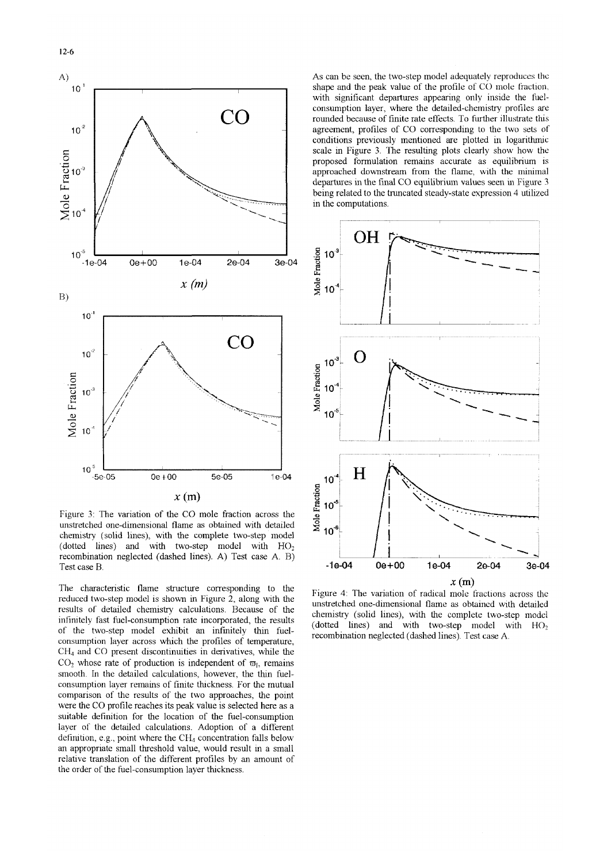

Figure 3: The variation of the CO mole fraction across the unstretched one-dimensional fíame as obtained with detailed chemistry (solid lines), with the complete two-step model (dotted lines) and with two-step model with  $HO_2$ recombination neglected (dashed lines). A) Test case A. B) Test case B.

The charactenstic fíame structure corresponding to the reduced two-step model is shown in Figure 2, along with the results of detailed chemistry calculations. Because of the infinitely fast fuel-consumption rate incorporated, the results of the two-step model exhibit an infinitely thin fuelconsumption layer across which the profiles of temperature, CH4 and CO present discontinuities in derivatives, while the CO<sub>2</sub> whose rate of production is independent of  $\varpi$ <sub>I</sub>, remains smooth. In the detailed calculations, however, the thin fuelconsumption layer remains of fmite thickness. For the mutual comparison of the results of the two approaches, the point were the CO profile reaches its peak valué is selected here as a suitable definition for the location of the fuel-consumption layer of the detailed calculations. Adoption of a different definition, e.g., point where the  $CH<sub>4</sub>$  concentration falls below an appropriate small threshold value, would result in a small relative translation of the different profiles by an amount of the order of the fuel-consumption layer thickness.

As can be seen, the two-step model adequately reproduces the shape and the peak value of the profile of  $CO$  mole fraction, with significant departures appearing only inside the fuelconsumption layer, where the detailed-chemistry profiles are rounded because of finite rate effects. To further illustrate this agreement, profiles of CO corresponding to the two sets of conditions previously mentioned are plotted in logarithmic scale in Figure 3. The resulting plots clearly show how the proposed formulation remains accurate as equilibrium is approached downstream from the fíame, with the minimal departures in the final CO equilibrium values seen in Figure 3 being related to the truncated steady-state expression 4 utilized in the computations.



Figure 4: The variation of radical mole fractions across the unstretched one-dimensional fíame as obtained with detailed chemistry (solid lines), with the complete two-step model (dotted lines) and with two-step model with  $HO_2$ recombination neglected (dashed lines). Test case A.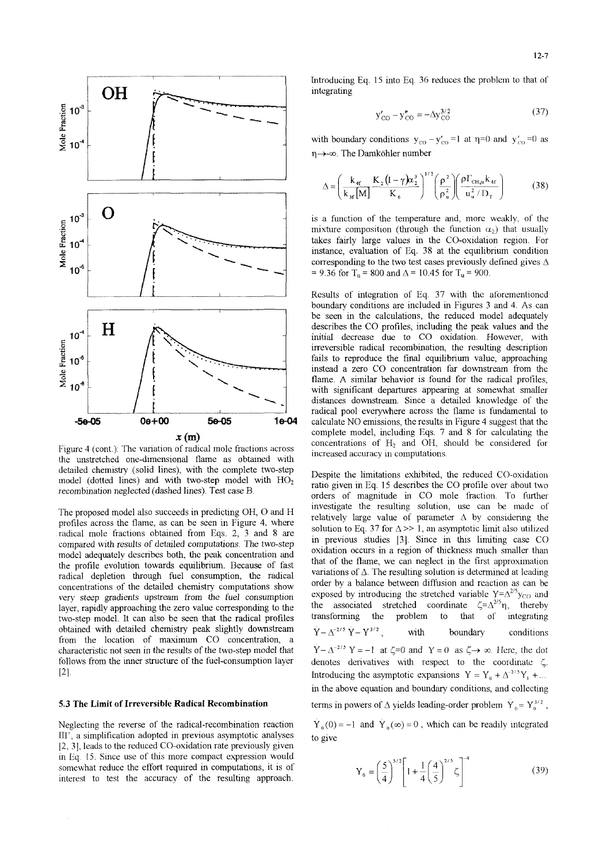

Figure 4 (cont): The variation of radical mole fractions across the unstretched one-dimensional ñame as obtamed with detailed chemistry (solid lines), with the complete two-step model (dotted lines) and with two-step model with  $HO<sub>2</sub>$ recombination neglected (dashed lines). Test case B.

The proposed model also succeeds in predicting OH, O and H profiles across the flame, as can be seen in Figure 4, where radical mole fractions obtained from Eqs. 2, 3 and 8 are compared with results of detailed computations. The two-step model adequately describes both, the peak concentration and the profile evolution towards equilibrium. Because of fast radical depletion through fuel consumption, the radical concentrations of the detailed chemistry computations show very steep gradients upstream from the fuel consumption layer, rapidly approaching the zero valué corresponding to the two-step model. It can also be seen that the radical profiles obtained with detailed chemistry peak slightly downstream from the location of máximum CO concentration, a characteristic not seen in the results of the two-step model that follows from the inner structure of the fuel-consumption layer  $[2]$ 

### **5.3 The Limit of Irreversible Radical Recombination**

Neglecting the reverse of the radical-recombination reaction III', a simplification adopted in previous asymptotic analyses |2, 3], leads to the reduced CO-oxidation rate previously given in Eq. 15. Since use of this more compact expression would somewhat reduce the effort required in computations, it is of mterest to test the accuracy of the resulting approach.

Introducing Eq. 15 into Eq. 36 reduces the problem to that of mtegrating

$$
y'_{\rm CO} - y''_{\rm CO} = -\Delta y_{\rm CO}^{3/2} \tag{37}
$$

with boundary conditions  $y_{\text{co}} - y'_{\text{co}} = 1$  at  $\eta = 0$  and  $y'_{\text{co}} = 0$  as r|->-oo. The Damkóhler number

$$
\Delta = \left(\frac{\mathbf{k}_{4\mathbf{f}}}{\mathbf{k}_{3\mathbf{f}}[M]}\frac{\mathbf{K}_{2}\left(\mathbf{l}-\gamma\right)\alpha_{2}^{3}}{\mathbf{K}_{6}}\right)^{1/2} \left(\frac{\rho^{2}}{\rho_{u}^{2}}\right) \left(\frac{\rho\Gamma_{\text{CH}_{4}u}\mathbf{k}_{4\mathbf{f}}}{\mathbf{u}_{u}^{2}/D_{T}}\right)
$$
(38)

is a function of the temperature and, more weakly, of the mixture composition (through the function  $\alpha_2$ ) that usually takes fairly large values in the CO-oxidation region. For mstance, evaluation of Eq. 38 at the equilibrium condition corresponding to the two test cases previously defined gives  $\Delta$ = 9.36 for T<sub>u</sub> = 800 and  $\Delta$  = 10.45 for T<sub>u</sub> = 900.

Results of integration of Eq. 37 with the aforementioned boundary conditions are included in Figures 3 and 4. As can be seen in the calculations, the reduced model adequately describes the CO profiles, including the peak values and the initial decrease due to CO oxidation. However, with irreversible radical recombination, the resulting description fails to reproduce the final equilibrium value, approaching instead a zero CO concentration far downstream from the flame. A similar behavior is found for the radical profiles, with significant departures appearing at somewhat smaller distances downstream. Since a detailed knowledge of the radical pool everywhere across the fíame is fundamental to calcúlate NO emissions, the results in Figure 4 suggest that the complete model, including Eqs. 7 and 8 for calculating the concentrations of  $H_2$  and OH, should be considered for increased accuracy in computations.

Despite the limitations exhibited, the reduced CO-oxidation ratio given in Eq. 15 describes the CO profile over about two orders of magnitude in CO mole fraction. To further investígate the resulting solution, use can be made of relatively large value of parameter  $\Delta$  by considering the solution to Eq. 37 for  $\Delta \gg 1$ , an asymptotic limit also utilized in previous studies [3]. Since in this limiting case CO oxidation oceurs in a región of thickness much smaller than that of the fíame, we can neglect in the first approximation variations of  $\Delta$ . The resulting solution is determined at leading order by a balance between diffusion and reaction as can be exposed by introducing the stretched variable  $Y = \Delta^{2/5}y_{\text{CO}}$  and the associated stretched coordinate  $\zeta = \Delta^{2/5}\eta$ , thereby transforming the problem to that of integrating  $Y - \Delta^{-2/3}$ with boundary conditions  $Y - A^{-2/5}$   $Y = -1$  at  $\zeta = 0$  and  $Y = 0$  as  $\zeta \rightarrow \infty$ . Here, the dot denotes derivatives with respect to the coordínate *C,.*  Introducing the asymptotic expansions  $Y = Y_0 + \Delta^{-2/5}Y_1 + ...$ in the above equation and boundary conditions, and collecting terms in powers of  $\Delta$  yields leading-order problem  $\hat{Y}_0 = Y_0^{3/2}$ ,

 $Y_0(0) = -1$  and  $Y_0(\infty) = 0$ , which can be readily integrated to give

$$
Y_0 = \left(\frac{5}{4}\right)^{5/2} \left[1 + \frac{1}{4}\left(\frac{4}{5}\right)^{2/5} \zeta\right]^{-4}
$$
 (39)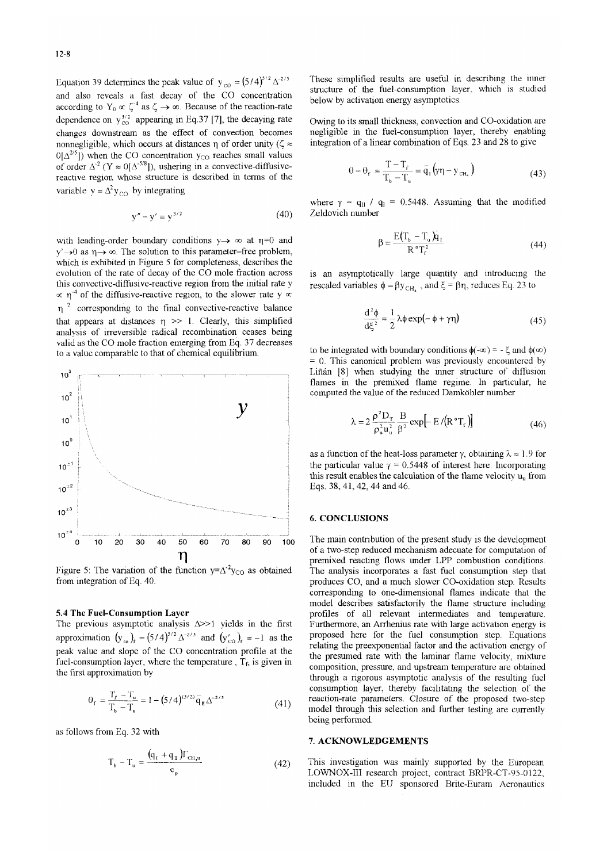Equation 39 determines the peak value of  $y_{\text{co}} = (5/4)^{5/2} \Delta^{-2/5}$ and also reveáis a fast decay of the CO concentration according to  $Y_0 \propto \zeta^4$  as  $\zeta \to \infty$ . Because of the reaction-rate dependence on  $y_{\text{eq}}^{3/2}$  appearing in Eq.37 [7], the decaying rate changes downstream as the effect of convection becomes nonnegligible, which occurs at distances  $\eta$  of order unity  $(\zeta \approx$  $0[\Delta^{2/5}]$ ) when the CO concentration y<sub>CO</sub> reaches small values of order  $\Delta^2$  (Y  $\approx$  0[ $\Delta^{5/8}$ ]), ushering in a convective-diffusivereacüve región whose structure is described in terms of the variable  $y = \Delta^2 y_{\text{CO}}$  by integrating

$$
y'' - y' = y^{3/2}
$$
 (40)

with leading-order boundary conditions  $y \rightarrow \infty$  at  $\eta=0$  and  $y' \rightarrow 0$  as  $\eta \rightarrow \infty$ . The solution to this parameter-free problem, which is exhibited in Figure 5 for completeness, describes the evolution of the rate of decay of the CO mole fraction across this convective-diffusive-reactive región from the initial rate y  $\propto \eta^{-4}$  of the diffusive-reactive region, to the slower rate y  $\propto$  $\eta$ <sup>2</sup> corresponding to the final convective-reactive balance that appears at distances  $\eta \gg 1$ . Clearly, this simplified analysis of irreversible radical recombination ceases being valid as the CO mole fraction emerging from Eq. 37 decreases to a valué comparable to that of chemical equilibrium.



Figure 5: The variation of the function  $y = \Delta^2 y_{\text{CO}}$  as obtained from integration of Eq. 40.

#### **5.4 The Fuel-Consumption Layer**

The previous asymptotic analysis  $\Delta \gg 1$  yields in the first approximation  $(y_{co})_f = (5/4)^{5/2} \Delta^{-2/5}$  and  $(y'_{co})_f = -1$  as the peak valué and slope of the CO concentration profile at the fuel-consumption layer, where the temperature,  $T<sub>f</sub>$  is given in the first approximation by

$$
\theta_{\rm f} = \frac{T_{\rm f} - T_{\rm u}}{T_{\rm b} - T_{\rm u}} = 1 - (5/4)^{(5/2)} \overline{q}_{\rm ff} \Delta^{-2/5}
$$
(41)

as follows from Eq. 32 with

$$
T_{b} - T_{u} = \frac{(q_{1} + q_{\pi}) \Gamma_{\text{CH},u}}{c_{p}}
$$
 (42)

These simplified results are useful in describing the inner structure of the fuel-consumption layer, which is studied below by activation energy asymptotics.

Owing to its small thickness, convection and CO-oxidation are negligible in the fuel-consumption layer, thereby enabling integration of a linear combination of Eqs. 23 and 28 to give

$$
\theta - \theta_{\rm r} = \frac{T - T_{\rm r}}{T_{\rm b} - T_{\rm u}} = \bar{q}_{\rm r} \left( \gamma \eta - y_{\rm ch} \right) \tag{43}
$$

where  $\gamma = q_{II} / q_{I} = 0.5448$ . Assuming that the modified Zeldovich number

$$
\beta = \frac{E(T_b - T_u)\overline{q}_1}{R^{\circ}T_f^2}
$$
\n(44)

is an asymptotically large quantity and introducing the rescaled variables  $\phi = \beta y_{CH_4}$ , and  $\xi = \beta \eta$ , reduces Eq. 23 to

$$
\frac{d^2\phi}{d\xi^2} = \frac{1}{2}\lambda\phi\exp(-\phi + \gamma\eta)
$$
 (45)

to be integrated with boundary conditions  $\phi(-\infty) = -\xi$  and  $\phi(\infty)$  $= 0$ . This canonical problem was previously encountered by Lifián [8] when studying the inner structure of diffusion flames in the premixed fíame regime. In particular, he computed the valué of the reduced Damkóhler number

$$
\lambda = 2 \frac{\rho^2 D_T}{\rho_u^2 u_u^2} \frac{B}{\beta^2} \exp[-E/(R^\circ T_r)] \tag{46}
$$

as a function of the heat-loss parameter  $\gamma$ , obtaining  $\lambda \approx 1.9$  for the particular value  $\gamma = 0.5448$  of interest here. Incorporating this result enables the calculation of the flame velocity  $u<sub>u</sub>$  from Eqs. 38, 41, 42, 44 and 46.

#### 6. CONCLUSIONS

The main contribution of the present study is the development of a two-step reduced mechanism adecúate for computation of premixed reacting flows under LPP combustion conditions. The analysis incorporates a fast fuel consumption step that produces CO, and a much slower CO-oxidation step. Results corresponding to one-dimensional flames indícate that the model describes satisfactorily the fíame structure including profiles of all relevant intermediates and temperature. Furthermore, an Arrhenius rate with large activation energy is proposed here for the fuel consumption step. Equations relating the preexponential factor and the activation energy of the presumed rate with the laminar fíame velocity, mixture composition, pressure, and upstream temperature are obtained through a rigorous asymptotic analysis of the resultmg fuel consumption layer, thereby facilitatmg the selection of the reaction-rate parameters. Closure of the proposed two-step model through this selection and further testing are currently being performed.

# 7. ACKNOWLEDGEMENTS

This investigation was mainly supported by the European LOWNOX-III research project, contract BRPR-CT-95-0122, included in the EU sponsored Brite-Euram Aeronautics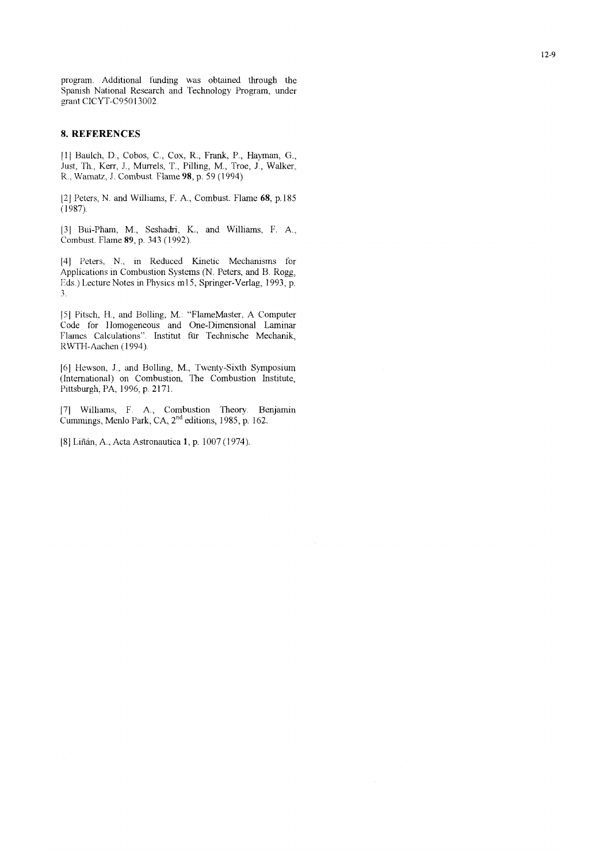program. Additional funding was obtained through the Spanish National Research and Technology Program, under grant CICYT-C95013002.

# **8. REFERENCES**

[1] Baulch, D., Cobos, C, Cox, R., Frank, P., Hayman, G., Just, Th., Kerr, J., Murrels, T., Pilling, M., Troe, J., Walker, R., Wamatz, J. Combust. Fíame 98, p. 59 (1994)

[2] Peters, N. and Williams, F. A., Combust. Flame 68, p.185] (1987).

[3] Bui-Pham, M., Seshadri, K., and Williams, F. A., Combust. Fíame 89, p. 343 (1992).

[4] Peters, N., ín Reduced Kinetic Mechanisms for Applications ín Combustión Systems (N. Peters, and B. Rogg, Fds.) Lecture Notes in Physics mi5, Springer-Verlag, 1993, p. 3.

[5] Pitsch, H., and Bolling, M.: "FlameMaster, A Computer Code for Homogeneous and One-Dimensional Laminar Flames Calculations". Instituí für Technische Mechanik, RWTH-Aachen (1994).

[6] Hewson, J., and Bolling, M, Twenty-Sixth Symposium (International) on Combustión, The Combustión Institute, Pittsburgh, PA, 1996, p. 2171.

[7] Williams, F. A., Combustión Theory. Benjamin Cummings, Menlo Park, CA, 2<sup>nd</sup> editions, 1985, p. 162.

[8] Liñán, A., Acta Astronáutica 1, p. 1007 (1974).